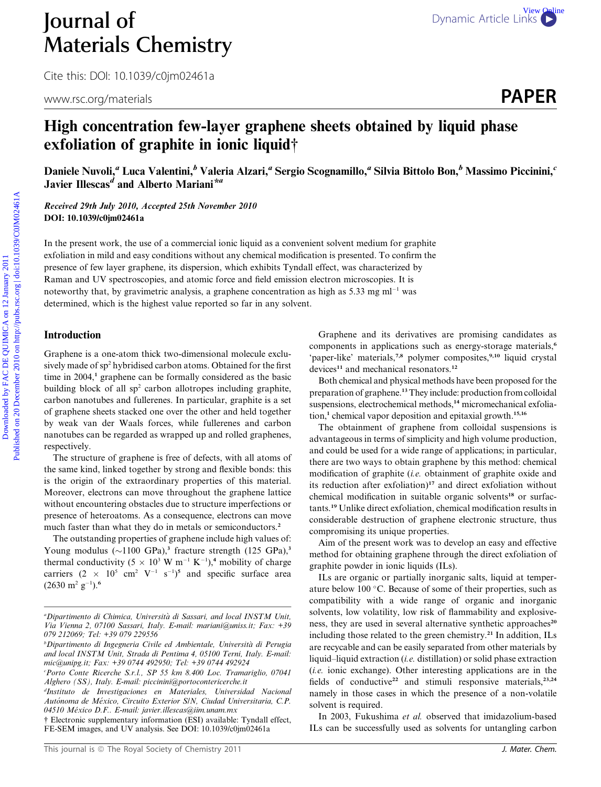# **Journal of** [Dynamic Article Links](http://dx.doi.org/10.1039/c0jm02461a) Materials Chemistry

Cite this: DOI: 10.1039/c0jm02461a

www.rsc.org/materials **PAPER** 

# High concentration few-layer graphene sheets obtained by liquid phase exfoliation of graphite in ionic liquid†

Daniele Nuvoli,<sup>a</sup> Luca Valentini,<sup>b</sup> Valeria Alzari,<sup>a</sup> Sergio Scognamillo,<sup>a</sup> Silvia Bittolo Bon,<sup>b</sup> Massimo Piccinini,<sup>c</sup> Javier Illescas<sup>d</sup> and Alberto Mariani\*<sup>a</sup>

Received 29th July 2010, Accepted 25th November 2010 DOI: 10.1039/c0jm02461a

In the present work, the use of a commercial ionic liquid as a convenient solvent medium for graphite exfoliation in mild and easy conditions without any chemical modification is presented. To confirm the presence of few layer graphene, its dispersion, which exhibits Tyndall effect, was characterized by Raman and UV spectroscopies, and atomic force and field emission electron microscopies. It is noteworthy that, by gravimetric analysis, a graphene concentration as high as  $5.33 \text{ mg ml}^{-1}$  was determined, which is the highest value reported so far in any solvent. **Download of**<br> **Downloaded by Raterials Chemistry**<br>
Cite this DO: 10.1039/c0jtm02461a<br> **Excel of the contraction fow-layer graphene sheets obtained by liquid phase<br>
exfoliation of graphite in ionic liquid†<br>
January 2012 a** 

# Introduction

Graphene is a one-atom thick two-dimensional molecule exclusively made of sp<sup>2</sup> hybridised carbon atoms. Obtained for the first time in  $2004<sup>1</sup>$  graphene can be formally considered as the basic building block of all sp<sup>2</sup> carbon allotropes including graphite, carbon nanotubes and fullerenes. In particular, graphite is a set of graphene sheets stacked one over the other and held together by weak van der Waals forces, while fullerenes and carbon nanotubes can be regarded as wrapped up and rolled graphenes, respectively.

The structure of graphene is free of defects, with all atoms of the same kind, linked together by strong and flexible bonds: this is the origin of the extraordinary properties of this material. Moreover, electrons can move throughout the graphene lattice without encountering obstacles due to structure imperfections or presence of heteroatoms. As a consequence, electrons can move much faster than what they do in metals or semiconductors.<sup>2</sup>

The outstanding properties of graphene include high values of: Young modulus  $(\sim 1100 \text{ GPa})$ ,<sup>3</sup> fracture strength (125 GPa),<sup>3</sup> thermal conductivity  $(5 \times 10^3 \text{ W m}^{-1} \text{ K}^{-1})$ ,<sup>4</sup> mobility of charge carriers  $(2 \times 10^5 \text{ cm}^2 \text{ V}^{-1} \text{ s}^{-1})^5$  and specific surface area  $(2630 \text{ m}^2 \text{ g}^{-1})$ .<sup>6</sup>

† Electronic supplementary information (ESI) available: Tyndall effect, FE-SEM images, and UV analysis. See DOI: 10.1039/c0jm02461a

Graphene and its derivatives are promising candidates as components in applications such as energy-storage materials,<sup>6</sup> 'paper-like' materials,<sup>7,8</sup> polymer composites,<sup>9,10</sup> liquid crystal devices<sup>11</sup> and mechanical resonators.<sup>12</sup>

Both chemical and physical methods have been proposed for the preparation of graphene.<sup>13</sup> They include: production from colloidal suspensions, electrochemical methods,<sup>14</sup> micromechanical exfoliation,<sup>1</sup> chemical vapor deposition and epitaxial growth.<sup>15,16</sup>

The obtainment of graphene from colloidal suspensions is advantageous in terms of simplicity and high volume production, and could be used for a wide range of applications; in particular, there are two ways to obtain graphene by this method: chemical modification of graphite (i.e. obtainment of graphite oxide and its reduction after exfoliation)<sup>17</sup> and direct exfoliation without chemical modification in suitable organic solvents<sup>18</sup> or surfactants.<sup>19</sup> Unlike direct exfoliation, chemical modification results in considerable destruction of graphene electronic structure, thus compromising its unique properties.

Aim of the present work was to develop an easy and effective method for obtaining graphene through the direct exfoliation of graphite powder in ionic liquids (ILs).

ILs are organic or partially inorganic salts, liquid at temperature below 100 $\degree$ C. Because of some of their properties, such as compatibility with a wide range of organic and inorganic solvents, low volatility, low risk of flammability and explosiveness, they are used in several alternative synthetic approaches<sup>20</sup> including those related to the green chemistry.<sup>21</sup> In addition, ILs are recycable and can be easily separated from other materials by liquid–liquid extraction (i.e. distillation) or solid phase extraction  $(i.e.$  ionic exchange). Other interesting applications are in the fields of conductive<sup>22</sup> and stimuli responsive materials,<sup>23,24</sup> namely in those cases in which the presence of a non-volatile solvent is required.

In 2003, Fukushima et al. observed that imidazolium-based ILs can be successfully used as solvents for untangling carbon

<sup>&</sup>lt;sup>a</sup>Dipartimento di Chimica, Università di Sassari, and local INSTM Unit, Via Vienna 2, 07100 Sassari, Italy. E-mail: mariani@uniss.it; Fax: +39 079 212069; Tel: +39 079 229556

<sup>&</sup>lt;sup>b</sup>Dipartimento di Ingegneria Civile ed Ambientale, Università di Perugia and local INSTM Unit, Strada di Pentima 4, 05100 Terni, Italy. E-mail: mic@unipg.it; Fax: +39 0744 492950; Tel: +39 0744 492924

c Porto Conte Ricerche S.r.l., SP 55 km 8.400 Loc. Tramariglio, 07041 Alghero (SS), Italy. E-mail: piccinini@portocontericerche.it

d Instituto de Investigaciones en Materiales, Universidad Nacional Autónoma de México, Circuito Exterior S/N, Ciudad Universitaria, C.P. 04510 México D.F.. E-mail: javier.illescas@iim.unam.mx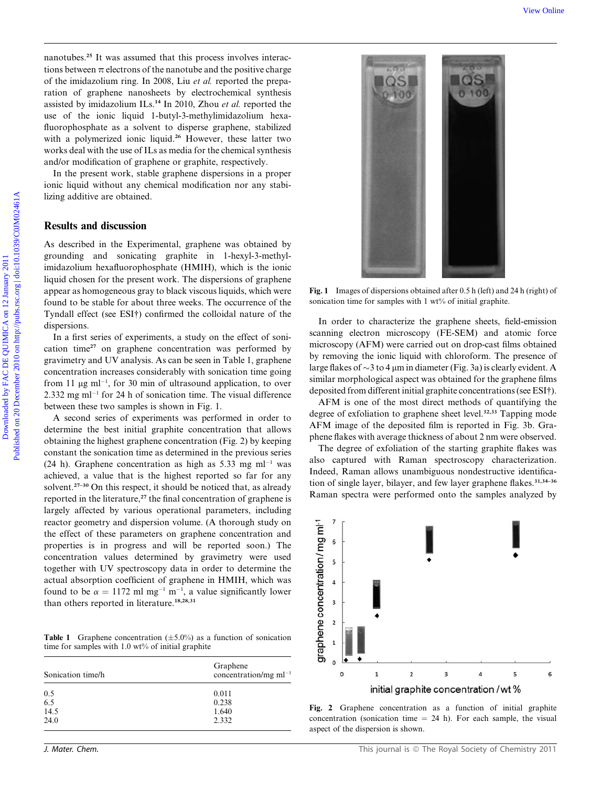nanotubes.<sup>25</sup> It was assumed that this process involves interactions between  $\pi$  electrons of the nanotube and the positive charge of the imidazolium ring. In 2008, Liu et al. reported the preparation of graphene nanosheets by electrochemical synthesis assisted by imidazolium ILs.<sup>14</sup> In 2010, Zhou et al. reported the use of the ionic liquid 1-butyl-3-methylimidazolium hexafluorophosphate as a solvent to disperse graphene, stabilized with a polymerized ionic liquid.<sup>26</sup> However, these latter two works deal with the use of ILs as media for the chemical synthesis and/or modification of graphene or graphite, respectively.

In the present work, stable graphene dispersions in a proper ionic liquid without any chemical modification nor any stabilizing additive are obtained.

# Results and discussion

As described in the Experimental, graphene was obtained by grounding and sonicating graphite in 1-hexyl-3-methylimidazolium hexafluorophosphate (HMIH), which is the ionic liquid chosen for the present work. The dispersions of graphene appear as homogeneous gray to black viscous liquids, which were found to be stable for about three weeks. The occurrence of the Tyndall effect (see ESI†) confirmed the colloidal nature of the dispersions.

In a first series of experiments, a study on the effect of sonication time<sup>27</sup> on graphene concentration was performed by gravimetry and UV analysis. As can be seen in Table 1, graphene concentration increases considerably with sonication time going from 11  $\mu$ g ml<sup>-1</sup>, for 30 min of ultrasound application, to over  $2.332$  mg ml<sup>-1</sup> for 24 h of sonication time. The visual difference between these two samples is shown in Fig. 1.

A second series of experiments was performed in order to determine the best initial graphite concentration that allows obtaining the highest graphene concentration (Fig. 2) by keeping constant the sonication time as determined in the previous series  $(24 h)$ . Graphene concentration as high as 5.33 mg ml<sup>-1</sup> was achieved, a value that is the highest reported so far for any solvent.<sup>27-30</sup> On this respect, it should be noticed that, as already reported in the literature, $27$  the final concentration of graphene is largely affected by various operational parameters, including reactor geometry and dispersion volume. (A thorough study on the effect of these parameters on graphene concentration and properties is in progress and will be reported soon.) The concentration values determined by gravimetry were used together with UV spectroscopy data in order to determine the actual absorption coefficient of graphene in HMIH, which was found to be  $\alpha = 1172$  ml mg<sup>-1</sup> m<sup>-1</sup>, a value significantly lower than others reported in literature.<sup>18,28,31</sup>

**Table 1** Graphene concentration  $(\pm 5.0\%)$  as a function of sonication time for samples with 1.0 wt% of initial graphite

| Sonication time/h | Graphene<br>concentration/mg $ml^{-1}$ |
|-------------------|----------------------------------------|
| 0.5               | 0.011                                  |
| 6.5               | 0.238                                  |
| 14.5              | 1.640                                  |
| 24.0              | 2.332                                  |



Fig. 1 Images of dispersions obtained after 0.5 h (left) and 24 h (right) of sonication time for samples with 1 wt% of initial graphite.

In order to characterize the graphene sheets, field-emission scanning electron microscopy (FE-SEM) and atomic force microscopy (AFM) were carried out on drop-cast films obtained by removing the ionic liquid with chloroform. The presence of large flakes of  $\sim$ 3 to 4 µm in diameter (Fig. 3a) is clearly evident. A similar morphological aspect was obtained for the graphene films deposited from different initial graphite concentrations (see ESI†).

AFM is one of the most direct methods of quantifying the degree of exfoliation to graphene sheet level. $32,33$  Tapping mode AFM image of the deposited film is reported in Fig. 3b. Graphene flakes with average thickness of about 2 nm were observed.

The degree of exfoliation of the starting graphite flakes was also captured with Raman spectroscopy characterization. Indeed, Raman allows unambiguous nondestructive identification of single layer, bilayer, and few layer graphene flakes.<sup>31,34-36</sup> Raman spectra were performed onto the samples analyzed by



Fig. 2 Graphene concentration as a function of initial graphite concentration (sonication time  $= 24$  h). For each sample, the visual aspect of the dispersion is shown.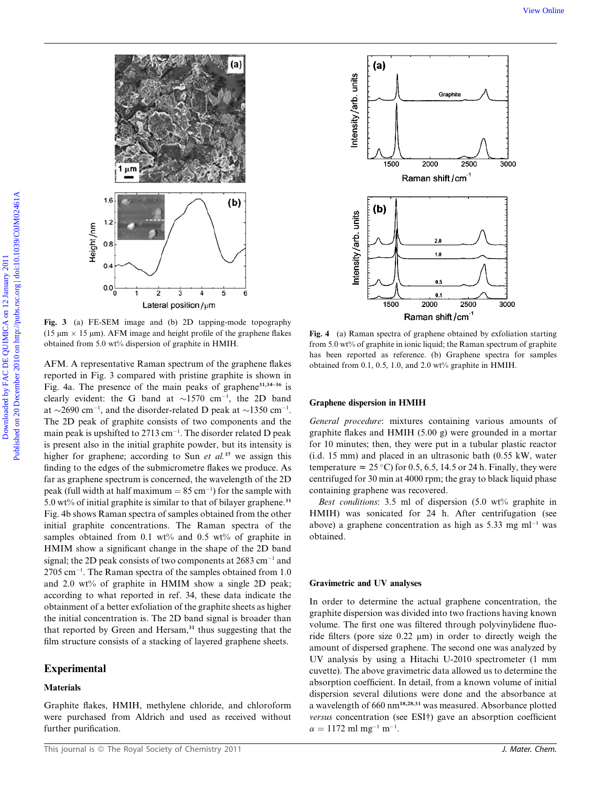

Fig. 3 (a) FE-SEM image and (b) 2D tapping-mode topography (15  $\mu$ m  $\times$  15  $\mu$ m). AFM image and height profile of the graphene flakes obtained from 5.0 wt% dispersion of graphite in HMIH.

AFM. A representative Raman spectrum of the graphene flakes reported in Fig. 3 compared with pristine graphite is shown in Fig. 4a. The presence of the main peaks of graphene<sup>31,34-36</sup> is clearly evident: the G band at  $\sim$ 1570 cm<sup>-1</sup>, the 2D band at  $\sim$ 2690 cm<sup>-1</sup>, and the disorder-related D peak at  $\sim$ 1350 cm<sup>-1</sup>. The 2D peak of graphite consists of two components and the main peak is upshifted to 2713 cm<sup>-1</sup>. The disorder related D peak is present also in the initial graphite powder, but its intensity is higher for graphene; according to Sun *et al.*<sup>37</sup> we assign this finding to the edges of the submicrometre flakes we produce. As far as graphene spectrum is concerned, the wavelength of the 2D peak (full width at half maximum  $= 85 \text{ cm}^{-1}$ ) for the sample with 5.0 wt% of initial graphite is similar to that of bilayer graphene. $31$ Fig. 4b shows Raman spectra of samples obtained from the other initial graphite concentrations. The Raman spectra of the samples obtained from 0.1 wt% and 0.5 wt% of graphite in HMIM show a significant change in the shape of the 2D band signal; the 2D peak consists of two components at 2683 cm<sup>-1</sup> and 2705 cm<sup>-1</sup>. The Raman spectra of the samples obtained from 1.0 and 2.0 wt% of graphite in HMIM show a single 2D peak; according to what reported in ref. 34, these data indicate the obtainment of a better exfoliation of the graphite sheets as higher the initial concentration is. The 2D band signal is broader than that reported by Green and Hersam, $31$  thus suggesting that the film structure consists of a stacking of layered graphene sheets.

# Experimental

# **Materials**

Graphite flakes, HMIH, methylene chloride, and chloroform were purchased from Aldrich and used as received without further purification.



Fig. 4 (a) Raman spectra of graphene obtained by exfoliation starting from 5.0 wt% of graphite in ionic liquid; the Raman spectrum of graphite has been reported as reference. (b) Graphene spectra for samples obtained from 0.1, 0.5, 1.0, and 2.0 wt% graphite in HMIH.

#### Graphene dispersion in HMIH

General procedure: mixtures containing various amounts of graphite flakes and HMIH (5.00 g) were grounded in a mortar for 10 minutes; then, they were put in a tubular plastic reactor (i.d. 15 mm) and placed in an ultrasonic bath (0.55 kW, water temperature  $\approx 25$  °C) for 0.5, 6.5, 14.5 or 24 h. Finally, they were centrifuged for 30 min at 4000 rpm; the gray to black liquid phase containing graphene was recovered.

Best conditions: 3.5 ml of dispersion (5.0 wt% graphite in HMIH) was sonicated for 24 h. After centrifugation (see above) a graphene concentration as high as  $5.33 \text{ mg ml}^{-1}$  was obtained.

#### Gravimetric and UV analyses

In order to determine the actual graphene concentration, the graphite dispersion was divided into two fractions having known volume. The first one was filtered through polyvinylidene fluoride filters (pore size  $0.22 \mu m$ ) in order to directly weigh the amount of dispersed graphene. The second one was analyzed by UV analysis by using a Hitachi U-2010 spectrometer (1 mm cuvette). The above gravimetric data allowed us to determine the absorption coefficient. In detail, from a known volume of initial dispersion several dilutions were done and the absorbance at a wavelength of 660 nm18,28,31 was measured. Absorbance plotted versus concentration (see ESI†) gave an absorption coefficient  $\alpha = 1172 \text{ ml mg}^{-1} \text{ m}^{-1}.$